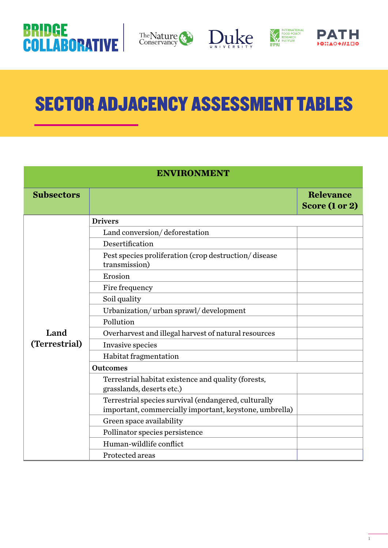









# SECTOR ADJACENCY ASSESSMENT TABLES

| <b>ENVIRONMENT</b> |                                                                                                                |                                    |
|--------------------|----------------------------------------------------------------------------------------------------------------|------------------------------------|
| <b>Subsectors</b>  |                                                                                                                | <b>Relevance</b><br>Score (1 or 2) |
|                    | <b>Drivers</b>                                                                                                 |                                    |
|                    | Land conversion/deforestation                                                                                  |                                    |
|                    | Desertification                                                                                                |                                    |
|                    | Pest species proliferation (crop destruction/disease<br>transmission)                                          |                                    |
|                    | Erosion                                                                                                        |                                    |
|                    | Fire frequency                                                                                                 |                                    |
|                    | Soil quality                                                                                                   |                                    |
|                    | Urbanization/urban sprawl/development                                                                          |                                    |
|                    | Pollution                                                                                                      |                                    |
| Land               | Overharvest and illegal harvest of natural resources                                                           |                                    |
| (Terrestrial)      | Invasive species                                                                                               |                                    |
|                    | Habitat fragmentation                                                                                          |                                    |
|                    | <b>Outcomes</b>                                                                                                |                                    |
|                    | Terrestrial habitat existence and quality (forests,<br>grasslands, deserts etc.)                               |                                    |
|                    | Terrestrial species survival (endangered, culturally<br>important, commercially important, keystone, umbrella) |                                    |
|                    | Green space availability                                                                                       |                                    |
|                    | Pollinator species persistence                                                                                 |                                    |
|                    | Human-wildlife conflict                                                                                        |                                    |
|                    | Protected areas                                                                                                |                                    |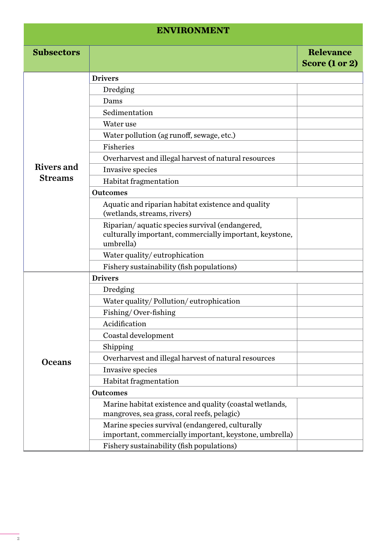#### **ENVIRONMENT**

| <b>Subsectors</b> |                                                                                                                        | <b>Relevance</b> |
|-------------------|------------------------------------------------------------------------------------------------------------------------|------------------|
|                   |                                                                                                                        | Score (1 or 2)   |
|                   | <b>Drivers</b>                                                                                                         |                  |
|                   | Dredging                                                                                                               |                  |
|                   | Dams                                                                                                                   |                  |
|                   | Sedimentation                                                                                                          |                  |
|                   | Water use                                                                                                              |                  |
|                   | Water pollution (ag runoff, sewage, etc.)                                                                              |                  |
|                   | Fisheries                                                                                                              |                  |
|                   | Overharvest and illegal harvest of natural resources                                                                   |                  |
| Rivers and        | Invasive species                                                                                                       |                  |
| <b>Streams</b>    | Habitat fragmentation                                                                                                  |                  |
|                   | <b>Outcomes</b>                                                                                                        |                  |
|                   | Aquatic and riparian habitat existence and quality<br>(wetlands, streams, rivers)                                      |                  |
|                   | Riparian/aquatic species survival (endangered,<br>culturally important, commercially important, keystone,<br>umbrella) |                  |
|                   | Water quality/eutrophication                                                                                           |                  |
|                   | Fishery sustainability (fish populations)                                                                              |                  |
|                   | <b>Drivers</b>                                                                                                         |                  |
|                   | Dredging                                                                                                               |                  |
|                   | Water quality/Pollution/eutrophication                                                                                 |                  |
|                   | Fishing/Over-fishing                                                                                                   |                  |
|                   | Acidification                                                                                                          |                  |
|                   | Coastal development                                                                                                    |                  |
|                   | Shipping                                                                                                               |                  |
| <b>Oceans</b>     | Overharvest and illegal harvest of natural resources                                                                   |                  |
|                   | Invasive species                                                                                                       |                  |
|                   | Habitat fragmentation                                                                                                  |                  |
|                   | <b>Outcomes</b>                                                                                                        |                  |
|                   | Marine habitat existence and quality (coastal wetlands,                                                                |                  |
|                   | mangroves, sea grass, coral reefs, pelagic)                                                                            |                  |
|                   | Marine species survival (endangered, culturally                                                                        |                  |
|                   | important, commercially important, keystone, umbrella)                                                                 |                  |
|                   | Fishery sustainability (fish populations)                                                                              |                  |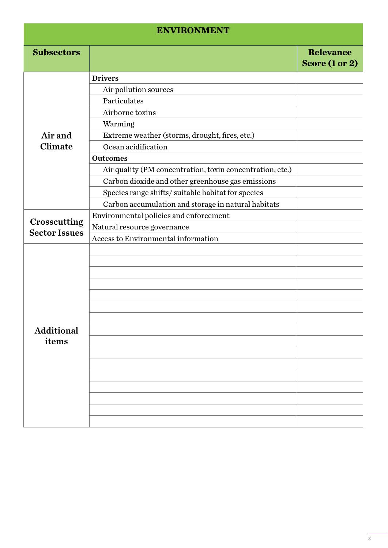## **ENVIRONMENT**

| <b>Subsectors</b>                    |                                                           | <b>Relevance</b><br>Score (1 or 2) |
|--------------------------------------|-----------------------------------------------------------|------------------------------------|
|                                      | <b>Drivers</b>                                            |                                    |
|                                      | Air pollution sources                                     |                                    |
|                                      | Particulates                                              |                                    |
|                                      | Airborne toxins                                           |                                    |
|                                      | Warming                                                   |                                    |
| Air and                              | Extreme weather (storms, drought, fires, etc.)            |                                    |
| <b>Climate</b>                       | Ocean acidification                                       |                                    |
|                                      | <b>Outcomes</b>                                           |                                    |
|                                      | Air quality (PM concentration, toxin concentration, etc.) |                                    |
|                                      | Carbon dioxide and other greenhouse gas emissions         |                                    |
|                                      | Species range shifts/suitable habitat for species         |                                    |
|                                      | Carbon accumulation and storage in natural habitats       |                                    |
|                                      | Environmental policies and enforcement                    |                                    |
| Crosscutting<br><b>Sector Issues</b> | Natural resource governance                               |                                    |
|                                      | Access to Environmental information                       |                                    |
|                                      |                                                           |                                    |
|                                      |                                                           |                                    |
|                                      |                                                           |                                    |
|                                      |                                                           |                                    |
|                                      |                                                           |                                    |
|                                      |                                                           |                                    |
|                                      |                                                           |                                    |
| <b>Additional</b>                    |                                                           |                                    |
| items                                |                                                           |                                    |
|                                      |                                                           |                                    |
|                                      |                                                           |                                    |
|                                      |                                                           |                                    |
|                                      |                                                           |                                    |
|                                      |                                                           |                                    |
|                                      |                                                           |                                    |
|                                      |                                                           |                                    |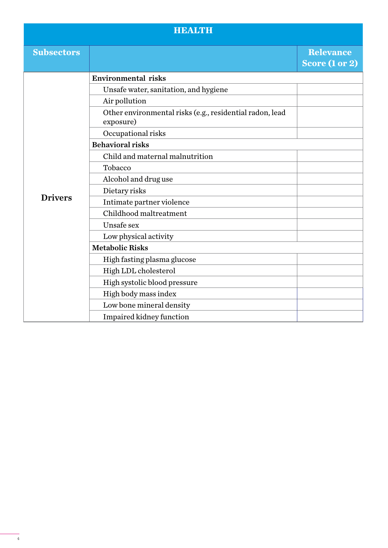### **HEALTH**

| <b>Subsectors</b> |                                                                       | <b>Relevance</b><br>Score (1 or 2) |
|-------------------|-----------------------------------------------------------------------|------------------------------------|
|                   | <b>Environmental risks</b>                                            |                                    |
|                   | Unsafe water, sanitation, and hygiene                                 |                                    |
|                   | Air pollution                                                         |                                    |
|                   | Other environmental risks (e.g., residential radon, lead<br>exposure) |                                    |
|                   | Occupational risks                                                    |                                    |
|                   | <b>Behavioral risks</b>                                               |                                    |
|                   | Child and maternal malnutrition                                       |                                    |
|                   | Tobacco                                                               |                                    |
|                   | Alcohol and drug use                                                  |                                    |
|                   | Dietary risks                                                         |                                    |
| <b>Drivers</b>    | Intimate partner violence                                             |                                    |
|                   | Childhood maltreatment                                                |                                    |
|                   | Unsafe sex                                                            |                                    |
|                   | Low physical activity                                                 |                                    |
|                   | <b>Metabolic Risks</b>                                                |                                    |
|                   | High fasting plasma glucose                                           |                                    |
|                   | High LDL cholesterol                                                  |                                    |
|                   | High systolic blood pressure                                          |                                    |
|                   | High body mass index                                                  |                                    |
|                   | Low bone mineral density                                              |                                    |
|                   | Impaired kidney function                                              |                                    |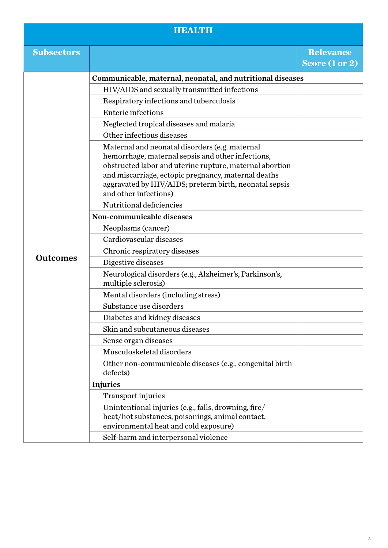#### **HEALTH**

| <b>Subsectors</b> |                                                                                                                                                                                                                                                                                                          | <b>Relevance</b><br>Score (1 or 2) |
|-------------------|----------------------------------------------------------------------------------------------------------------------------------------------------------------------------------------------------------------------------------------------------------------------------------------------------------|------------------------------------|
|                   | Communicable, maternal, neonatal, and nutritional diseases                                                                                                                                                                                                                                               |                                    |
|                   | HIV/AIDS and sexually transmitted infections                                                                                                                                                                                                                                                             |                                    |
|                   | Respiratory infections and tuberculosis                                                                                                                                                                                                                                                                  |                                    |
|                   | <b>Enteric infections</b>                                                                                                                                                                                                                                                                                |                                    |
|                   | Neglected tropical diseases and malaria                                                                                                                                                                                                                                                                  |                                    |
|                   | Other infectious diseases                                                                                                                                                                                                                                                                                |                                    |
|                   | Maternal and neonatal disorders (e.g. maternal<br>hemorrhage, maternal sepsis and other infections,<br>obstructed labor and uterine rupture, maternal abortion<br>and miscarriage, ectopic pregnancy, maternal deaths<br>aggravated by HIV/AIDS; preterm birth, neonatal sepsis<br>and other infections) |                                    |
|                   | Nutritional deficiencies                                                                                                                                                                                                                                                                                 |                                    |
|                   | Non-communicable diseases                                                                                                                                                                                                                                                                                |                                    |
|                   | Neoplasms (cancer)                                                                                                                                                                                                                                                                                       |                                    |
|                   | Cardiovascular diseases                                                                                                                                                                                                                                                                                  |                                    |
| <b>Outcomes</b>   | Chronic respiratory diseases                                                                                                                                                                                                                                                                             |                                    |
|                   | Digestive diseases                                                                                                                                                                                                                                                                                       |                                    |
|                   | Neurological disorders (e.g., Alzheimer's, Parkinson's,<br>multiple sclerosis)                                                                                                                                                                                                                           |                                    |
|                   | Mental disorders (including stress)                                                                                                                                                                                                                                                                      |                                    |
|                   | Substance use disorders                                                                                                                                                                                                                                                                                  |                                    |
|                   | Diabetes and kidney diseases                                                                                                                                                                                                                                                                             |                                    |
|                   | Skin and subcutaneous diseases                                                                                                                                                                                                                                                                           |                                    |
|                   | Sense organ diseases                                                                                                                                                                                                                                                                                     |                                    |
|                   | Musculoskeletal disorders                                                                                                                                                                                                                                                                                |                                    |
|                   | Other non-communicable diseases (e.g., congenital birth<br>defects)                                                                                                                                                                                                                                      |                                    |
|                   | <b>Injuries</b>                                                                                                                                                                                                                                                                                          |                                    |
|                   | <b>Transport injuries</b>                                                                                                                                                                                                                                                                                |                                    |
|                   | Unintentional injuries (e.g., falls, drowning, fire/<br>heat/hot substances, poisonings, animal contact,<br>environmental heat and cold exposure)                                                                                                                                                        |                                    |
|                   | Self-harm and interpersonal violence                                                                                                                                                                                                                                                                     |                                    |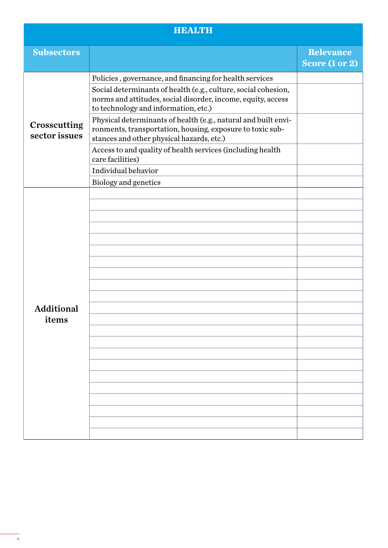#### **HEALTH**

| <b>Subsectors</b>             |                                                                                                                                                                          | <b>Relevance</b><br>Score (1 or 2) |
|-------------------------------|--------------------------------------------------------------------------------------------------------------------------------------------------------------------------|------------------------------------|
| Crosscutting<br>sector issues | Policies, governance, and financing for health services                                                                                                                  |                                    |
|                               | Social determinants of health (e.g., culture, social cohesion,<br>norms and attitudes, social disorder, income, equity, access<br>to technology and information, etc.)   |                                    |
|                               | Physical determinants of health (e.g., natural and built envi-<br>ronments, transportation, housing, exposure to toxic sub-<br>stances and other physical hazards, etc.) |                                    |
|                               | Access to and quality of health services (including health<br>care facilities)                                                                                           |                                    |
|                               | Individual behavior                                                                                                                                                      |                                    |
|                               | Biology and genetics                                                                                                                                                     |                                    |
| <b>Additional</b><br>items    |                                                                                                                                                                          |                                    |
|                               |                                                                                                                                                                          |                                    |
|                               |                                                                                                                                                                          |                                    |
|                               |                                                                                                                                                                          |                                    |
|                               |                                                                                                                                                                          |                                    |
|                               |                                                                                                                                                                          |                                    |
|                               |                                                                                                                                                                          |                                    |
|                               |                                                                                                                                                                          |                                    |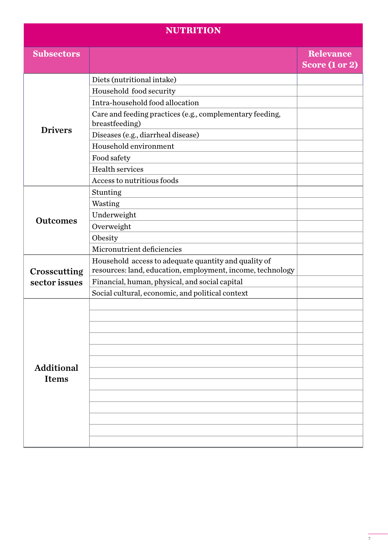#### **NUTRITION**

| <b>Subsectors</b>                 |                                                                                                                    | <b>Relevance</b><br>Score (1 or 2) |
|-----------------------------------|--------------------------------------------------------------------------------------------------------------------|------------------------------------|
|                                   | Diets (nutritional intake)                                                                                         |                                    |
|                                   | Household food security                                                                                            |                                    |
|                                   | Intra-household food allocation                                                                                    |                                    |
|                                   | Care and feeding practices (e.g., complementary feeding,<br>breastfeeding)                                         |                                    |
| <b>Drivers</b>                    | Diseases (e.g., diarrheal disease)                                                                                 |                                    |
|                                   | Household environment                                                                                              |                                    |
|                                   | Food safety                                                                                                        |                                    |
|                                   | <b>Health services</b>                                                                                             |                                    |
|                                   | Access to nutritious foods                                                                                         |                                    |
|                                   | Stunting                                                                                                           |                                    |
|                                   | Wasting                                                                                                            |                                    |
|                                   | Underweight                                                                                                        |                                    |
| <b>Outcomes</b>                   | Overweight                                                                                                         |                                    |
|                                   | Obesity                                                                                                            |                                    |
|                                   | Micronutrient deficiencies                                                                                         |                                    |
| Crosscutting                      | Household access to adequate quantity and quality of<br>resources: land, education, employment, income, technology |                                    |
| sector issues                     | Financial, human, physical, and social capital                                                                     |                                    |
|                                   | Social cultural, economic, and political context                                                                   |                                    |
|                                   |                                                                                                                    |                                    |
|                                   |                                                                                                                    |                                    |
|                                   |                                                                                                                    |                                    |
|                                   |                                                                                                                    |                                    |
|                                   |                                                                                                                    |                                    |
|                                   |                                                                                                                    |                                    |
| <b>Additional</b><br><b>Items</b> |                                                                                                                    |                                    |
|                                   |                                                                                                                    |                                    |
|                                   |                                                                                                                    |                                    |
|                                   |                                                                                                                    |                                    |
|                                   |                                                                                                                    |                                    |
|                                   |                                                                                                                    |                                    |
|                                   |                                                                                                                    |                                    |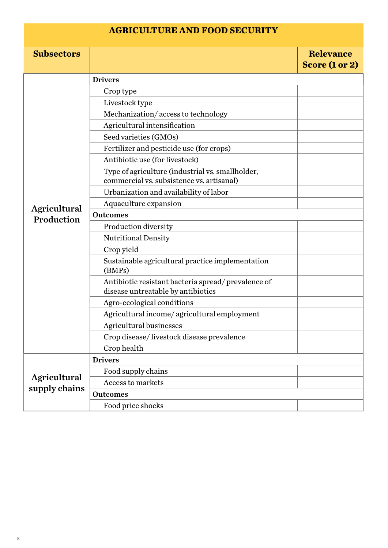#### **AGRICULTURE AND FOOD SECURITY**

| <b>Subsectors</b>             |                                                                                               | <b>Relevance</b><br>Score (1 or 2) |
|-------------------------------|-----------------------------------------------------------------------------------------------|------------------------------------|
|                               | <b>Drivers</b>                                                                                |                                    |
|                               | Crop type                                                                                     |                                    |
|                               | Livestock type                                                                                |                                    |
|                               | Mechanization/access to technology                                                            |                                    |
|                               | Agricultural intensification                                                                  |                                    |
|                               | Seed varieties (GMOs)                                                                         |                                    |
|                               | Fertilizer and pesticide use (for crops)                                                      |                                    |
|                               | Antibiotic use (for livestock)                                                                |                                    |
|                               | Type of agriculture (industrial vs. smallholder,<br>commercial vs. subsistence vs. artisanal) |                                    |
|                               | Urbanization and availability of labor                                                        |                                    |
|                               | Aquaculture expansion                                                                         |                                    |
| Agricultural<br>Production    | <b>Outcomes</b>                                                                               |                                    |
|                               | Production diversity                                                                          |                                    |
|                               | <b>Nutritional Density</b>                                                                    |                                    |
|                               | Crop yield                                                                                    |                                    |
|                               | Sustainable agricultural practice implementation<br>(BMPs)                                    |                                    |
|                               | Antibiotic resistant bacteria spread/prevalence of<br>disease untreatable by antibiotics      |                                    |
|                               | Agro-ecological conditions                                                                    |                                    |
|                               | Agricultural income/agricultural employment                                                   |                                    |
|                               | <b>Agricultural businesses</b>                                                                |                                    |
|                               | Crop disease/livestock disease prevalence                                                     |                                    |
|                               | Crop health                                                                                   |                                    |
|                               | <b>Drivers</b>                                                                                |                                    |
|                               | Food supply chains                                                                            |                                    |
| Agricultural<br>supply chains | <b>Access to markets</b>                                                                      |                                    |
|                               | <b>Outcomes</b>                                                                               |                                    |
|                               | Food price shocks                                                                             |                                    |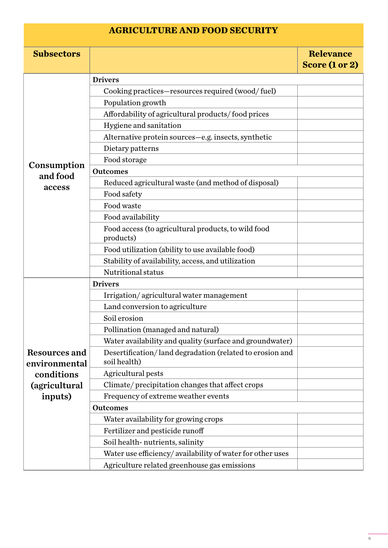#### **AGRICULTURE AND FOOD SECURITY**

| <b>Subsectors</b>              |                                                                          | <b>Relevance</b><br>Score (1 or 2) |
|--------------------------------|--------------------------------------------------------------------------|------------------------------------|
|                                | <b>Drivers</b>                                                           |                                    |
|                                | Cooking practices—resources required (wood/fuel)                         |                                    |
|                                | Population growth                                                        |                                    |
|                                | Affordability of agricultural products/food prices                       |                                    |
|                                | Hygiene and sanitation                                                   |                                    |
|                                | Alternative protein sources-e.g. insects, synthetic                      |                                    |
|                                | Dietary patterns                                                         |                                    |
|                                | Food storage                                                             |                                    |
| Consumption                    | <b>Outcomes</b>                                                          |                                    |
| and food                       | Reduced agricultural waste (and method of disposal)                      |                                    |
| access                         | Food safety                                                              |                                    |
|                                | Food waste                                                               |                                    |
|                                | Food availability                                                        |                                    |
|                                | Food access (to agricultural products, to wild food<br>products)         |                                    |
|                                | Food utilization (ability to use available food)                         |                                    |
|                                | Stability of availability, access, and utilization                       |                                    |
|                                | Nutritional status                                                       |                                    |
|                                | <b>Drivers</b>                                                           |                                    |
|                                | Irrigation/agricultural water management                                 |                                    |
|                                | Land conversion to agriculture                                           |                                    |
|                                | Soil erosion                                                             |                                    |
|                                | Pollination (managed and natural)                                        |                                    |
|                                | Water availability and quality (surface and groundwater)                 |                                    |
| Resources and<br>environmental | Desertification/land degradation (related to erosion and<br>soil health) |                                    |
| conditions                     | Agricultural pests                                                       |                                    |
| (agricultural                  | Climate/precipitation changes that affect crops                          |                                    |
| inputs)                        | Frequency of extreme weather events                                      |                                    |
|                                | <b>Outcomes</b>                                                          |                                    |
|                                | Water availability for growing crops                                     |                                    |
|                                | Fertilizer and pesticide runoff                                          |                                    |
|                                | Soil health-nutrients, salinity                                          |                                    |
|                                | Water use efficiency/availability of water for other uses                |                                    |
|                                | Agriculture related greenhouse gas emissions                             |                                    |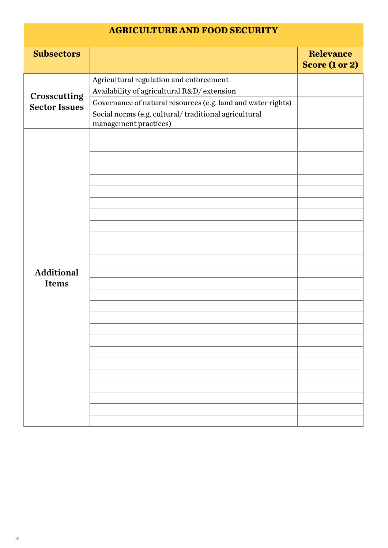#### **AGRICULTURE AND FOOD SECURITY**

| <b>Subsectors</b>                    |                                                                               | <b>Relevance</b><br>Score (1 or 2) |
|--------------------------------------|-------------------------------------------------------------------------------|------------------------------------|
|                                      | Agricultural regulation and enforcement                                       |                                    |
|                                      | Availability of agricultural R&D/ extension                                   |                                    |
| Crosscutting<br><b>Sector Issues</b> | Governance of natural resources (e.g. land and water rights)                  |                                    |
|                                      | Social norms (e.g. cultural/traditional agricultural<br>management practices) |                                    |
|                                      |                                                                               |                                    |
|                                      |                                                                               |                                    |
|                                      |                                                                               |                                    |
|                                      |                                                                               |                                    |
|                                      |                                                                               |                                    |
|                                      |                                                                               |                                    |
|                                      |                                                                               |                                    |
|                                      |                                                                               |                                    |
|                                      |                                                                               |                                    |
|                                      |                                                                               |                                    |
|                                      |                                                                               |                                    |
|                                      |                                                                               |                                    |
| <b>Additional</b><br><b>Items</b>    |                                                                               |                                    |
|                                      |                                                                               |                                    |
|                                      |                                                                               |                                    |
|                                      |                                                                               |                                    |
|                                      |                                                                               |                                    |
|                                      |                                                                               |                                    |
|                                      |                                                                               |                                    |
|                                      |                                                                               |                                    |
|                                      |                                                                               |                                    |
|                                      |                                                                               |                                    |
|                                      |                                                                               |                                    |
|                                      |                                                                               |                                    |
|                                      |                                                                               |                                    |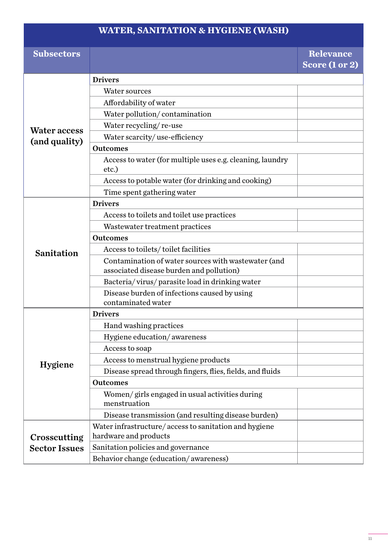## **WATER, SANITATION & HYGIENE (WASH)**

| <b>Subsectors</b>                    |                                                                    | <b>Relevance</b><br>Score (1 or 2) |
|--------------------------------------|--------------------------------------------------------------------|------------------------------------|
|                                      |                                                                    |                                    |
|                                      | <b>Drivers</b>                                                     |                                    |
|                                      | Water sources                                                      |                                    |
|                                      | Affordability of water                                             |                                    |
|                                      | Water pollution/contamination                                      |                                    |
| <b>Water access</b>                  | Water recycling/re-use                                             |                                    |
| (and quality)                        | Water scarcity/use-efficiency                                      |                                    |
|                                      | <b>Outcomes</b>                                                    |                                    |
|                                      | Access to water (for multiple uses e.g. cleaning, laundry<br>etc.) |                                    |
|                                      | Access to potable water (for drinking and cooking)                 |                                    |
|                                      | Time spent gathering water                                         |                                    |
|                                      | <b>Drivers</b>                                                     |                                    |
|                                      | Access to toilets and toilet use practices                         |                                    |
|                                      | Wastewater treatment practices                                     |                                    |
|                                      | <b>Outcomes</b>                                                    |                                    |
| Sanitation                           | Access to toilets/toilet facilities                                |                                    |
|                                      | Contamination of water sources with wastewater (and                |                                    |
|                                      | associated disease burden and pollution)                           |                                    |
|                                      | Bacteria/virus/parasite load in drinking water                     |                                    |
|                                      | Disease burden of infections caused by using<br>contaminated water |                                    |
|                                      | <b>Drivers</b>                                                     |                                    |
|                                      | Hand washing practices                                             |                                    |
|                                      | Hygiene education/awareness                                        |                                    |
|                                      | Access to soap                                                     |                                    |
|                                      | Access to menstrual hygiene products                               |                                    |
| <b>Hygiene</b>                       | Disease spread through fingers, flies, fields, and fluids          |                                    |
|                                      | <b>Outcomes</b>                                                    |                                    |
|                                      | Women/girls engaged in usual activities during                     |                                    |
|                                      | menstruation                                                       |                                    |
|                                      | Disease transmission (and resulting disease burden)                |                                    |
|                                      | Water infrastructure/access to sanitation and hygiene              |                                    |
| Crosscutting<br><b>Sector Issues</b> | hardware and products                                              |                                    |
|                                      | Sanitation policies and governance                                 |                                    |
|                                      | Behavior change (education/awareness)                              |                                    |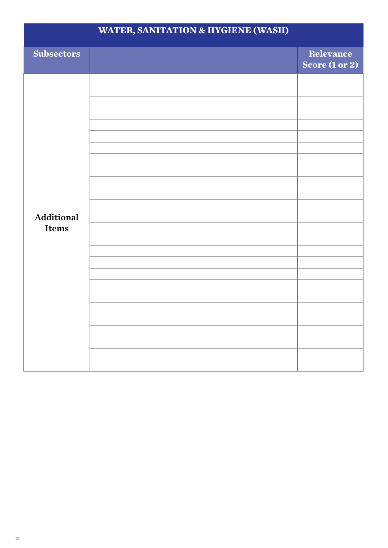| <b>WATER, SANITATION &amp; HYGIENE (WASH)</b> |  |                             |
|-----------------------------------------------|--|-----------------------------|
| <b>Subsectors</b>                             |  | Relevance<br>Score (1 or 2) |
| Additional<br><b>Items</b>                    |  |                             |
|                                               |  |                             |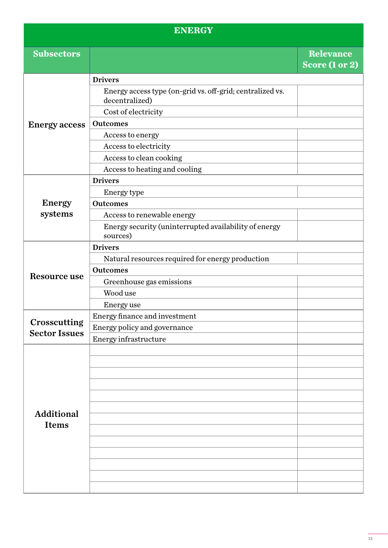#### **ENERGY**

| <b>Subsectors</b>    |                                                                             | <b>Relevance</b><br>Score (1 or 2) |
|----------------------|-----------------------------------------------------------------------------|------------------------------------|
|                      | <b>Drivers</b>                                                              |                                    |
| <b>Energy access</b> | Energy access type (on-grid vs. off-grid; centralized vs.<br>decentralized) |                                    |
|                      | Cost of electricity                                                         |                                    |
|                      | <b>Outcomes</b>                                                             |                                    |
|                      | Access to energy                                                            |                                    |
|                      | Access to electricity                                                       |                                    |
|                      | Access to clean cooking                                                     |                                    |
|                      | Access to heating and cooling                                               |                                    |
|                      | <b>Drivers</b>                                                              |                                    |
|                      | Energy type                                                                 |                                    |
| <b>Energy</b>        | <b>Outcomes</b>                                                             |                                    |
| systems              | Access to renewable energy                                                  |                                    |
|                      | Energy security (uninterrupted availability of energy<br>sources)           |                                    |
|                      | <b>Drivers</b>                                                              |                                    |
|                      | Natural resources required for energy production                            |                                    |
|                      | <b>Outcomes</b>                                                             |                                    |
| Resource use         | Greenhouse gas emissions                                                    |                                    |
|                      | Wood use                                                                    |                                    |
|                      | <b>Energy</b> use                                                           |                                    |
|                      | Energy finance and investment                                               |                                    |
| Crosscutting         | Energy policy and governance                                                |                                    |
| <b>Sector Issues</b> | Energy infrastructure                                                       |                                    |
|                      |                                                                             |                                    |
|                      |                                                                             |                                    |
|                      |                                                                             |                                    |
|                      |                                                                             |                                    |
|                      |                                                                             |                                    |
| <b>Additional</b>    |                                                                             |                                    |
| <b>Items</b>         |                                                                             |                                    |
|                      |                                                                             |                                    |
|                      |                                                                             |                                    |
|                      |                                                                             |                                    |
|                      |                                                                             |                                    |
|                      |                                                                             |                                    |
|                      |                                                                             |                                    |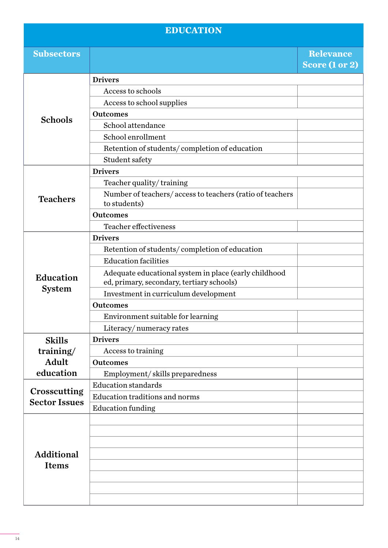### **EDUCATION**

| <b>Subsectors</b>                    |                                                          | <b>Relevance</b><br>Score (1 or 2) |
|--------------------------------------|----------------------------------------------------------|------------------------------------|
|                                      | <b>Drivers</b>                                           |                                    |
| <b>Schools</b>                       | Access to schools                                        |                                    |
|                                      | Access to school supplies                                |                                    |
|                                      | <b>Outcomes</b>                                          |                                    |
|                                      | School attendance                                        |                                    |
|                                      | School enrollment                                        |                                    |
|                                      | Retention of students/completion of education            |                                    |
|                                      | Student safety                                           |                                    |
|                                      | <b>Drivers</b>                                           |                                    |
|                                      | Teacher quality/training                                 |                                    |
|                                      | Number of teachers/access to teachers (ratio of teachers |                                    |
| <b>Teachers</b>                      | to students)                                             |                                    |
|                                      | <b>Outcomes</b>                                          |                                    |
|                                      | Teacher effectiveness                                    |                                    |
|                                      | <b>Drivers</b>                                           |                                    |
|                                      | Retention of students/completion of education            |                                    |
|                                      | <b>Education facilities</b>                              |                                    |
| <b>Education</b>                     | Adequate educational system in place (early childhood    |                                    |
|                                      | ed, primary, secondary, tertiary schools)                |                                    |
| <b>System</b>                        | Investment in curriculum development                     |                                    |
|                                      | <b>Outcomes</b>                                          |                                    |
|                                      | Environment suitable for learning                        |                                    |
|                                      | Literacy/numeracy rates                                  |                                    |
| <b>Skills</b>                        | <b>Drivers</b>                                           |                                    |
| training/                            | Access to training                                       |                                    |
| <b>Adult</b>                         | <b>Outcomes</b>                                          |                                    |
| education                            | Employment/skills preparedness                           |                                    |
| Crosscutting<br><b>Sector Issues</b> | <b>Education standards</b>                               |                                    |
|                                      | <b>Education traditions and norms</b>                    |                                    |
|                                      | <b>Education funding</b>                                 |                                    |
|                                      |                                                          |                                    |
| <b>Additional</b><br><b>Items</b>    |                                                          |                                    |
|                                      |                                                          |                                    |
|                                      |                                                          |                                    |
|                                      |                                                          |                                    |
|                                      |                                                          |                                    |
|                                      |                                                          |                                    |
|                                      |                                                          |                                    |